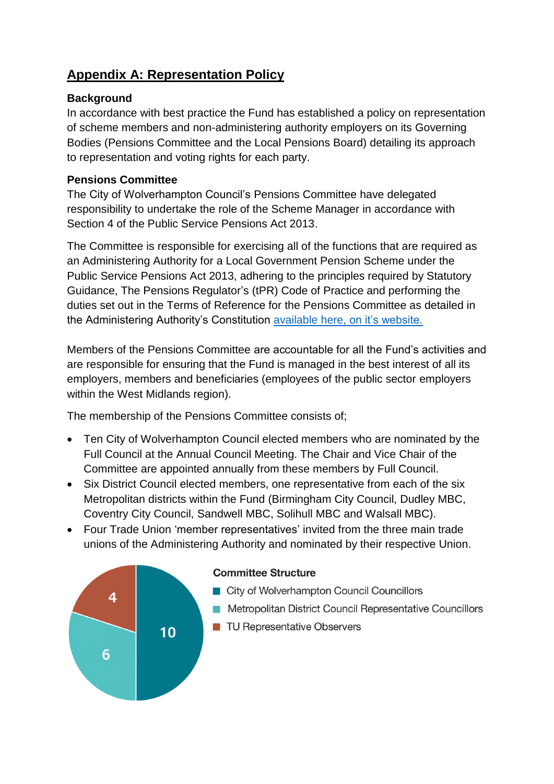# **Appendix A: Representation Policy**

## **Background**

In accordance with best practice the Fund has established a policy on representation of scheme members and non-administering authority employers on its Governing Bodies (Pensions Committee and the Local Pensions Board) detailing its approach to representation and voting rights for each party.

## **Pensions Committee**

The City of Wolverhampton Council's Pensions Committee have delegated responsibility to undertake the role of the Scheme Manager in accordance with Section 4 of the Public Service Pensions Act 2013.

The Committee is responsible for exercising all of the functions that are required as an Administering Authority for a Local Government Pension Scheme under the Public Service Pensions Act 2013, adhering to the principles required by Statutory Guidance, The Pensions Regulator's (tPR) Code of Practice and performing the duties set out in the Terms of Reference for the Pensions Committee as detailed in the Administering Authority's Constitution available [here, on it's website.](https://wolverhampton.moderngov.co.uk/documents/s210601/Part%202%20-%20Article%208-%20Regulatory%20and%20Other%20Committees.pdf) 

Members of the Pensions Committee are accountable for all the Fund's activities and are responsible for ensuring that the Fund is managed in the best interest of all its employers, members and beneficiaries (employees of the public sector employers within the West Midlands region).

The membership of the Pensions Committee consists of;

- Ten City of Wolverhampton Council elected members who are nominated by the Full Council at the Annual Council Meeting. The Chair and Vice Chair of the Committee are appointed annually from these members by Full Council.
- Six District Council elected members, one representative from each of the six Metropolitan districts within the Fund (Birmingham City Council, Dudley MBC, Coventry City Council, Sandwell MBC, Solihull MBC and Walsall MBC).
- Four Trade Union 'member representatives' invited from the three main trade unions of the Administering Authority and nominated by their respective Union.

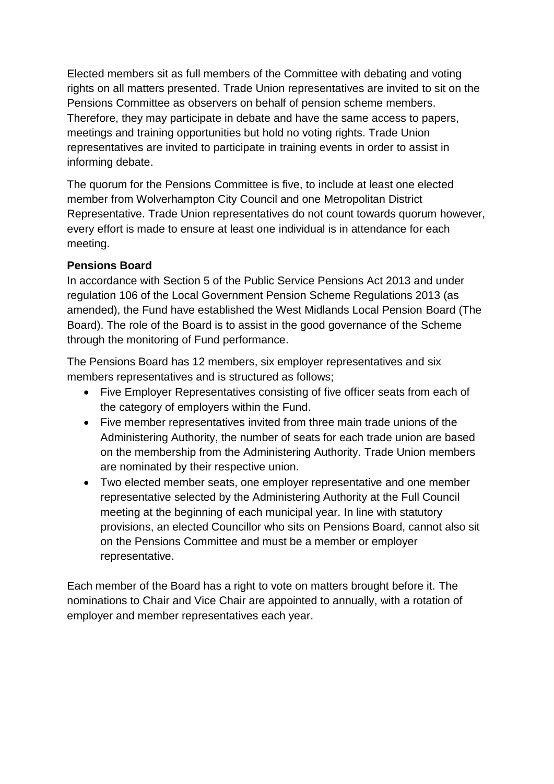Elected members sit as full members of the Committee with debating and voting rights on all matters presented. Trade Union representatives are invited to sit on the Pensions Committee as observers on behalf of pension scheme members. Therefore, they may participate in debate and have the same access to papers, meetings and training opportunities but hold no voting rights. Trade Union representatives are invited to participate in training events in order to assist in informing debate.

The quorum for the Pensions Committee is five, to include at least one elected member from Wolverhampton City Council and one Metropolitan District Representative. Trade Union representatives do not count towards quorum however, every effort is made to ensure at least one individual is in attendance for each meeting.

### **Pensions Board**

In accordance with Section 5 of the Public Service Pensions Act 2013 and under regulation 106 of the Local Government Pension Scheme Regulations 2013 (as amended), the Fund have established the West Midlands Local Pension Board (The Board). The role of the Board is to assist in the good governance of the Scheme through the monitoring of Fund performance.

The Pensions Board has 12 members, six employer representatives and six members representatives and is structured as follows;

- Five Employer Representatives consisting of five officer seats from each of the category of employers within the Fund.
- Five member representatives invited from three main trade unions of the Administering Authority, the number of seats for each trade union are based on the membership from the Administering Authority. Trade Union members are nominated by their respective union.
- Two elected member seats, one employer representative and one member representative selected by the Administering Authority at the Full Council meeting at the beginning of each municipal year. In line with statutory provisions, an elected Councillor who sits on Pensions Board, cannot also sit on the Pensions Committee and must be a member or employer representative.

Each member of the Board has a right to vote on matters brought before it. The nominations to Chair and Vice Chair are appointed to annually, with a rotation of employer and member representatives each year.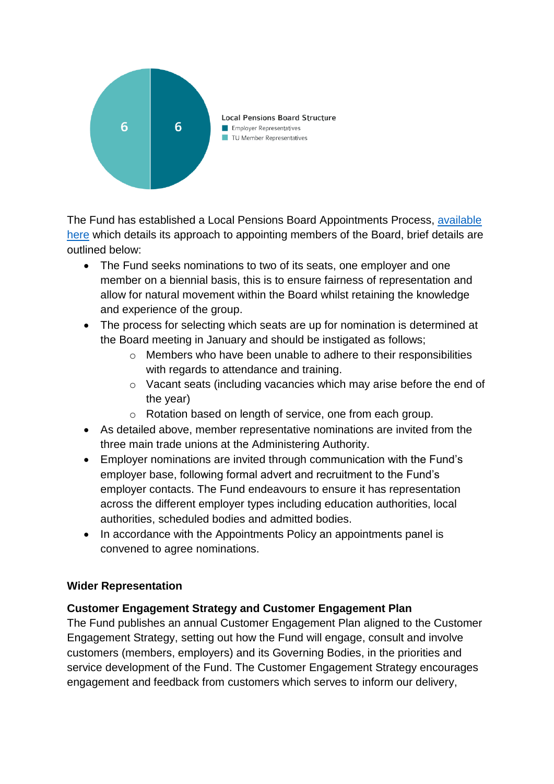

The Fund has established a Local Pensions Board Appointments Process, [available](https://www.wmpfonline.com/CHttpHandler.ashx?id=17723&p=0)  [here](https://www.wmpfonline.com/CHttpHandler.ashx?id=17723&p=0) which details its approach to appointing members of the Board, brief details are outlined below:

- The Fund seeks nominations to two of its seats, one employer and one member on a biennial basis, this is to ensure fairness of representation and allow for natural movement within the Board whilst retaining the knowledge and experience of the group.
- The process for selecting which seats are up for nomination is determined at the Board meeting in January and should be instigated as follows;
	- o Members who have been unable to adhere to their responsibilities with regards to attendance and training.
	- o Vacant seats (including vacancies which may arise before the end of the year)
	- o Rotation based on length of service, one from each group.
- As detailed above, member representative nominations are invited from the three main trade unions at the Administering Authority.
- Employer nominations are invited through communication with the Fund's employer base, following formal advert and recruitment to the Fund's employer contacts. The Fund endeavours to ensure it has representation across the different employer types including education authorities, local authorities, scheduled bodies and admitted bodies.
- In accordance with the Appointments Policy an appointments panel is convened to agree nominations.

### **Wider Representation**

### **Customer Engagement Strategy and Customer Engagement Plan**

The Fund publishes an annual Customer Engagement Plan aligned to the Customer Engagement Strategy, setting out how the Fund will engage, consult and involve customers (members, employers) and its Governing Bodies, in the priorities and service development of the Fund. The Customer Engagement Strategy encourages engagement and feedback from customers which serves to inform our delivery,